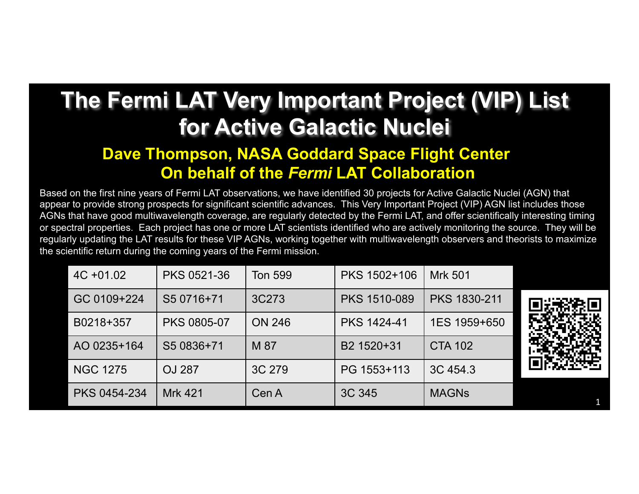## **The Fermi LAT Very Important Project (VIP) List for Active Galactic Nuclei**

## **Dave Thompson, NASA Goddard Space Flight Center On behalf of the** *Fermi* **LAT Collaboration**

Based on the first nine years of Fermi LAT observations, we have identified 30 projects for Active Galactic Nuclei (AGN) that appear to provide strong prospects for significant scientific advances. This Very Important Project (VIP) AGN list includes those AGNs that have good multiwavelength coverage, are regularly detected by the Fermi LAT, and offer scientifically interesting timing or spectral properties. Each project has one or more LAT scientists identified who are actively monitoring the source. They will be regularly updating the LAT results for these VIP AGNs, working together with multiwavelength observers and theorists to maximize the scientific return during the coming years of the Fermi mission.

| $4C + 01.02$    | PKS 0521-36        | Ton 599       | PKS 1502+106       | Mrk 501             |  |
|-----------------|--------------------|---------------|--------------------|---------------------|--|
| GC 0109+224     | S5 0716+71         | 3C273         | PKS 1510-089       | <b>PKS 1830-211</b> |  |
| B0218+357       | <b>PKS 0805-07</b> | <b>ON 246</b> | <b>PKS 1424-41</b> | 1ES 1959+650        |  |
| AO 0235+164     | S5 0836+71         | M 87          | B2 1520+31         | <b>CTA 102</b>      |  |
| <b>NGC 1275</b> | <b>OJ 287</b>      | 3C 279        | PG 1553+113        | 3C 454.3            |  |
| PKS 0454-234    | <b>Mrk 421</b>     | Cen A         | 3C 345             | <b>MAGNS</b>        |  |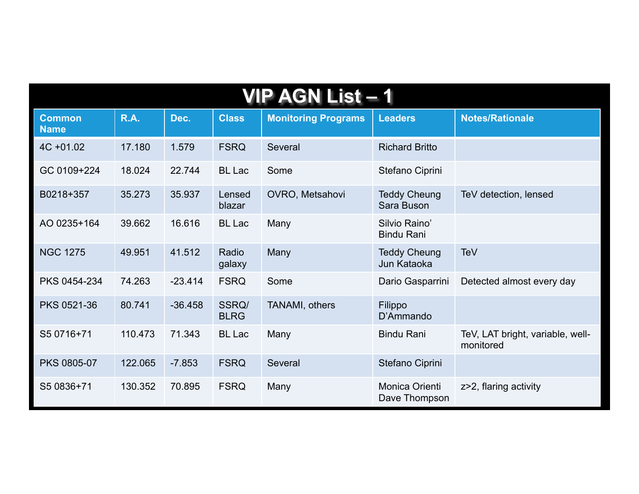| <b>VIP AGN List – 1</b>      |             |           |                      |                            |                                    |                                               |  |
|------------------------------|-------------|-----------|----------------------|----------------------------|------------------------------------|-----------------------------------------------|--|
| <b>Common</b><br><b>Name</b> | <b>R.A.</b> | Dec.      | <b>Class</b>         | <b>Monitoring Programs</b> | <b>Leaders</b>                     | <b>Notes/Rationale</b>                        |  |
| $4C + 01.02$                 | 17.180      | 1.579     | <b>FSRQ</b>          | Several                    | <b>Richard Britto</b>              |                                               |  |
| GC 0109+224                  | 18.024      | 22.744    | <b>BL</b> Lac        | Some                       | Stefano Ciprini                    |                                               |  |
| B0218+357                    | 35.273      | 35.937    | Lensed<br>blazar     | OVRO, Metsahovi            | <b>Teddy Cheung</b><br>Sara Buson  | TeV detection, lensed                         |  |
| AO 0235+164                  | 39.662      | 16.616    | <b>BL</b> Lac        | Many                       | Silvio Raino'<br><b>Bindu Rani</b> |                                               |  |
| <b>NGC 1275</b>              | 49.951      | 41.512    | Radio<br>galaxy      | Many                       | <b>Teddy Cheung</b><br>Jun Kataoka | TeV                                           |  |
| PKS 0454-234                 | 74.263      | $-23.414$ | <b>FSRQ</b>          | Some                       | Dario Gasparrini                   | Detected almost every day                     |  |
| PKS 0521-36                  | 80.741      | $-36.458$ | SSRQ/<br><b>BLRG</b> | TANAMI, others             | Filippo<br>D'Ammando               |                                               |  |
| S5 0716+71                   | 110.473     | 71.343    | <b>BL</b> Lac        | Many                       | <b>Bindu Rani</b>                  | TeV, LAT bright, variable, well-<br>monitored |  |
| <b>PKS 0805-07</b>           | 122.065     | $-7.853$  | <b>FSRQ</b>          | Several                    | Stefano Ciprini                    |                                               |  |
| S5 0836+71                   | 130.352     | 70.895    | <b>FSRQ</b>          | Many                       | Monica Orienti<br>Dave Thompson    | z>2, flaring activity                         |  |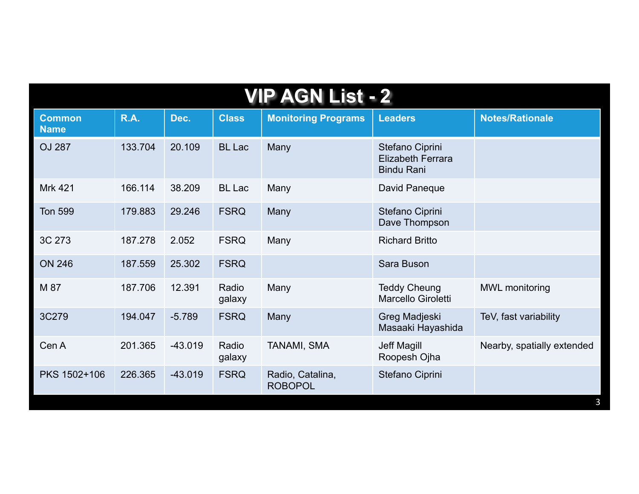| <b>VIP AGN List - 2</b>      |             |           |                 |                                    |                                                                  |                            |  |
|------------------------------|-------------|-----------|-----------------|------------------------------------|------------------------------------------------------------------|----------------------------|--|
| <b>Common</b><br><b>Name</b> | <b>R.A.</b> | Dec.      | <b>Class</b>    | <b>Monitoring Programs</b>         | <b>Leaders</b>                                                   | <b>Notes/Rationale</b>     |  |
| <b>OJ 287</b>                | 133.704     | 20.109    | <b>BL</b> Lac   | Many                               | Stefano Ciprini<br><b>Elizabeth Ferrara</b><br><b>Bindu Rani</b> |                            |  |
| <b>Mrk 421</b>               | 166.114     | 38.209    | <b>BL</b> Lac   | Many                               | David Paneque                                                    |                            |  |
| <b>Ton 599</b>               | 179.883     | 29.246    | <b>FSRQ</b>     | Many                               | Stefano Ciprini<br>Dave Thompson                                 |                            |  |
| 3C 273                       | 187.278     | 2.052     | <b>FSRQ</b>     | Many                               | <b>Richard Britto</b>                                            |                            |  |
| <b>ON 246</b>                | 187.559     | 25.302    | <b>FSRQ</b>     |                                    | Sara Buson                                                       |                            |  |
| M 87                         | 187.706     | 12.391    | Radio<br>galaxy | Many                               | <b>Teddy Cheung</b><br>Marcello Giroletti                        | <b>MWL</b> monitoring      |  |
| 3C279                        | 194.047     | $-5.789$  | <b>FSRQ</b>     | Many                               | Greg Madjeski<br>Masaaki Hayashida                               | TeV, fast variability      |  |
| Cen A                        | 201.365     | $-43.019$ | Radio<br>galaxy | TANAMI, SMA                        | Jeff Magill<br>Roopesh Ojha                                      | Nearby, spatially extended |  |
| PKS 1502+106                 | 226.365     | $-43.019$ | <b>FSRQ</b>     | Radio, Catalina,<br><b>ROBOPOL</b> | Stefano Ciprini                                                  |                            |  |
|                              |             |           |                 |                                    |                                                                  | 3                          |  |